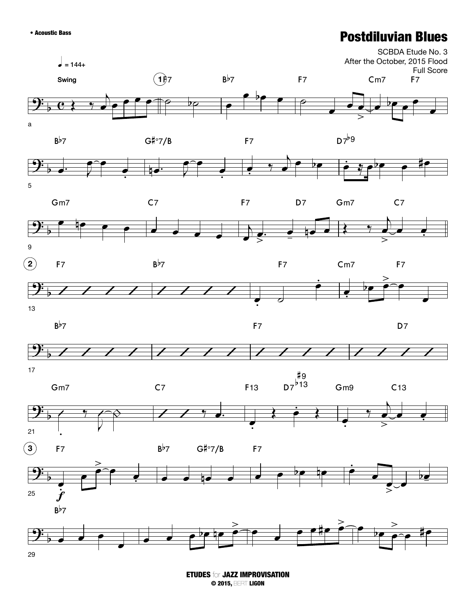## • Acoustic Bass Postdiluvian Blues



ETUDES for JAZZ IMPROVISATION © 2015, BERT LIGON